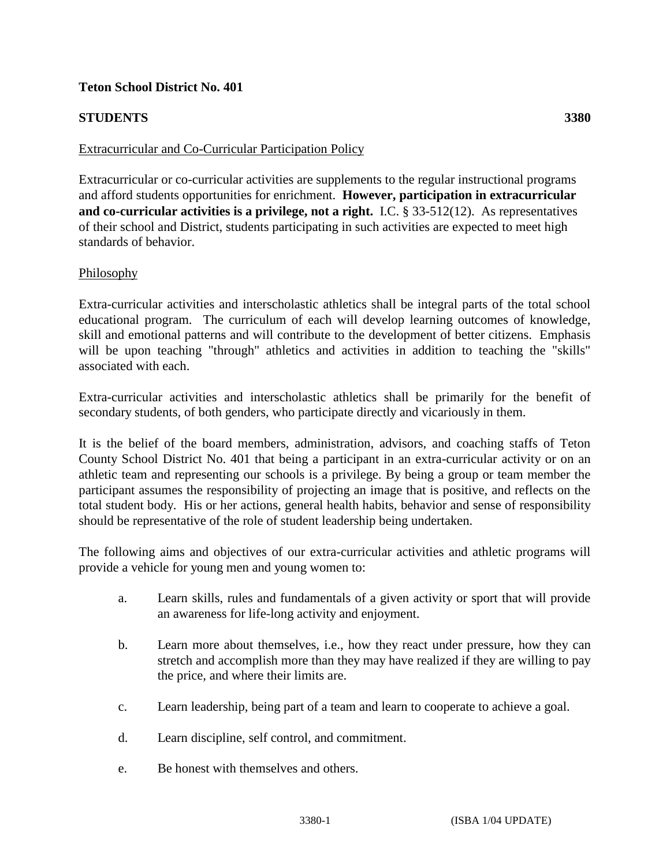## **Teton School District No. 401**

## **STUDENTS 3380**

### Extracurricular and Co-Curricular Participation Policy

Extracurricular or co-curricular activities are supplements to the regular instructional programs and afford students opportunities for enrichment. **However, participation in extracurricular and co-curricular activities is a privilege, not a right.** I.C. § 33-512(12). As representatives of their school and District, students participating in such activities are expected to meet high standards of behavior.

### Philosophy

Extra-curricular activities and interscholastic athletics shall be integral parts of the total school educational program. The curriculum of each will develop learning outcomes of knowledge, skill and emotional patterns and will contribute to the development of better citizens. Emphasis will be upon teaching "through" athletics and activities in addition to teaching the "skills" associated with each.

Extra-curricular activities and interscholastic athletics shall be primarily for the benefit of secondary students, of both genders, who participate directly and vicariously in them.

It is the belief of the board members, administration, advisors, and coaching staffs of Teton County School District No. 401 that being a participant in an extra-curricular activity or on an athletic team and representing our schools is a privilege. By being a group or team member the participant assumes the responsibility of projecting an image that is positive, and reflects on the total student body. His or her actions, general health habits, behavior and sense of responsibility should be representative of the role of student leadership being undertaken.

The following aims and objectives of our extra-curricular activities and athletic programs will provide a vehicle for young men and young women to:

- a. Learn skills, rules and fundamentals of a given activity or sport that will provide an awareness for life-long activity and enjoyment.
- b. Learn more about themselves, i.e., how they react under pressure, how they can stretch and accomplish more than they may have realized if they are willing to pay the price, and where their limits are.
- c. Learn leadership, being part of a team and learn to cooperate to achieve a goal.
- d. Learn discipline, self control, and commitment.
- e. Be honest with themselves and others.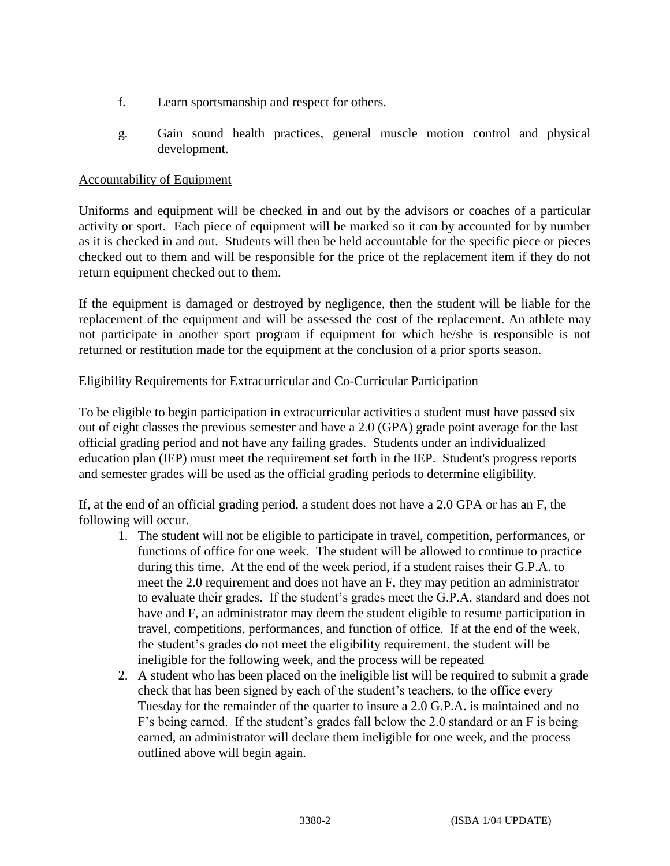- f. Learn sportsmanship and respect for others.
- g. Gain sound health practices, general muscle motion control and physical development.

# Accountability of Equipment

Uniforms and equipment will be checked in and out by the advisors or coaches of a particular activity or sport. Each piece of equipment will be marked so it can by accounted for by number as it is checked in and out. Students will then be held accountable for the specific piece or pieces checked out to them and will be responsible for the price of the replacement item if they do not return equipment checked out to them.

If the equipment is damaged or destroyed by negligence, then the student will be liable for the replacement of the equipment and will be assessed the cost of the replacement. An athlete may not participate in another sport program if equipment for which he/she is responsible is not returned or restitution made for the equipment at the conclusion of a prior sports season.

# Eligibility Requirements for Extracurricular and Co-Curricular Participation

To be eligible to begin participation in extracurricular activities a student must have passed six out of eight classes the previous semester and have a 2.0 (GPA) grade point average for the last official grading period and not have any failing grades. Students under an individualized education plan (IEP) must meet the requirement set forth in the IEP. Student's progress reports and semester grades will be used as the official grading periods to determine eligibility.

If, at the end of an official grading period, a student does not have a 2.0 GPA or has an F, the following will occur.

- 1. The student will not be eligible to participate in travel, competition, performances, or functions of office for one week. The student will be allowed to continue to practice during this time. At the end of the week period, if a student raises their G.P.A. to meet the 2.0 requirement and does not have an F, they may petition an administrator to evaluate their grades. If the student's grades meet the G.P.A. standard and does not have and F, an administrator may deem the student eligible to resume participation in travel, competitions, performances, and function of office. If at the end of the week, the student's grades do not meet the eligibility requirement, the student will be ineligible for the following week, and the process will be repeated
- 2. A student who has been placed on the ineligible list will be required to submit a grade check that has been signed by each of the student's teachers, to the office every Tuesday for the remainder of the quarter to insure a 2.0 G.P.A. is maintained and no F's being earned. If the student's grades fall below the 2.0 standard or an F is being earned, an administrator will declare them ineligible for one week, and the process outlined above will begin again.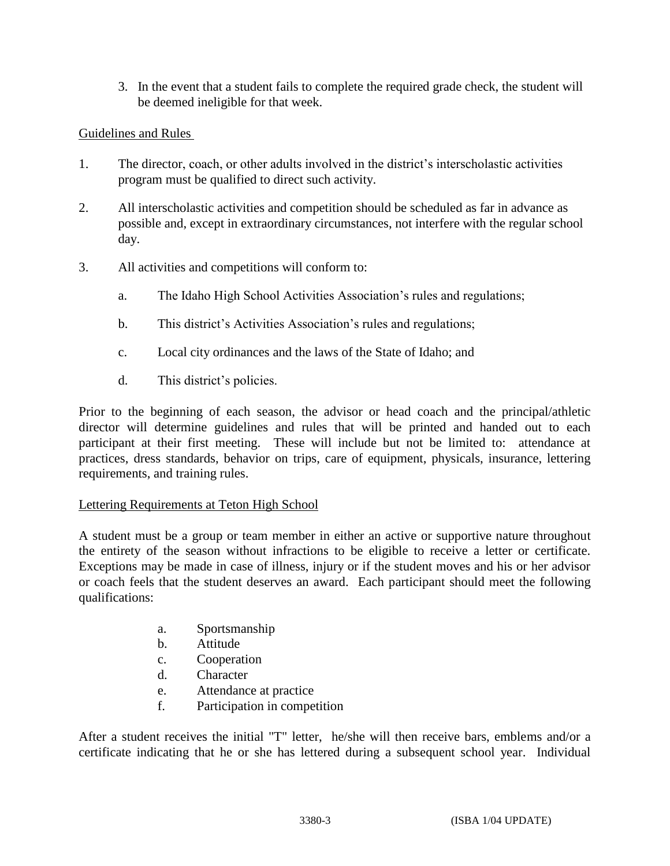3. In the event that a student fails to complete the required grade check, the student will be deemed ineligible for that week.

# Guidelines and Rules

- 1. The director, coach, or other adults involved in the district's interscholastic activities program must be qualified to direct such activity.
- 2. All interscholastic activities and competition should be scheduled as far in advance as possible and, except in extraordinary circumstances, not interfere with the regular school day.
- 3. All activities and competitions will conform to:
	- a. The Idaho High School Activities Association's rules and regulations;
	- b. This district's Activities Association's rules and regulations;
	- c. Local city ordinances and the laws of the State of Idaho; and
	- d. This district's policies.

Prior to the beginning of each season, the advisor or head coach and the principal/athletic director will determine guidelines and rules that will be printed and handed out to each participant at their first meeting. These will include but not be limited to: attendance at practices, dress standards, behavior on trips, care of equipment, physicals, insurance, lettering requirements, and training rules.

# Lettering Requirements at Teton High School

A student must be a group or team member in either an active or supportive nature throughout the entirety of the season without infractions to be eligible to receive a letter or certificate. Exceptions may be made in case of illness, injury or if the student moves and his or her advisor or coach feels that the student deserves an award. Each participant should meet the following qualifications:

- a. Sportsmanship
- b. Attitude
- c. Cooperation
- d. Character
- e. Attendance at practice
- f. Participation in competition

After a student receives the initial "T" letter, he/she will then receive bars, emblems and/or a certificate indicating that he or she has lettered during a subsequent school year. Individual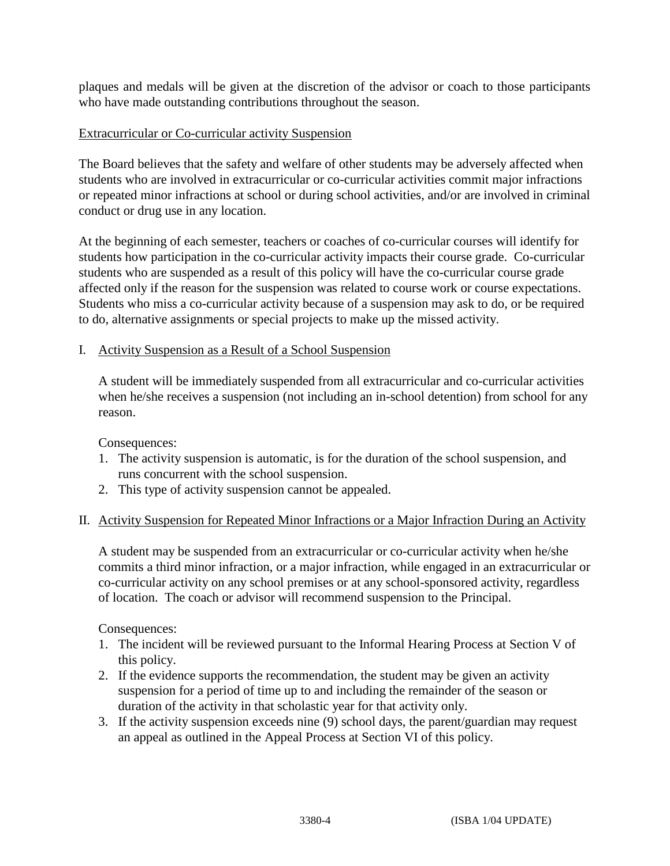plaques and medals will be given at the discretion of the advisor or coach to those participants who have made outstanding contributions throughout the season.

### Extracurricular or Co-curricular activity Suspension

The Board believes that the safety and welfare of other students may be adversely affected when students who are involved in extracurricular or co-curricular activities commit major infractions or repeated minor infractions at school or during school activities, and/or are involved in criminal conduct or drug use in any location.

At the beginning of each semester, teachers or coaches of co-curricular courses will identify for students how participation in the co-curricular activity impacts their course grade. Co-curricular students who are suspended as a result of this policy will have the co-curricular course grade affected only if the reason for the suspension was related to course work or course expectations. Students who miss a co-curricular activity because of a suspension may ask to do, or be required to do, alternative assignments or special projects to make up the missed activity.

### I. Activity Suspension as a Result of a School Suspension

A student will be immediately suspended from all extracurricular and co-curricular activities when he/she receives a suspension (not including an in-school detention) from school for any reason.

Consequences:

- 1. The activity suspension is automatic, is for the duration of the school suspension, and runs concurrent with the school suspension.
- 2. This type of activity suspension cannot be appealed.

# II. Activity Suspension for Repeated Minor Infractions or a Major Infraction During an Activity

A student may be suspended from an extracurricular or co-curricular activity when he/she commits a third minor infraction, or a major infraction, while engaged in an extracurricular or co-curricular activity on any school premises or at any school-sponsored activity, regardless of location. The coach or advisor will recommend suspension to the Principal.

Consequences:

- 1. The incident will be reviewed pursuant to the Informal Hearing Process at Section V of this policy.
- 2. If the evidence supports the recommendation, the student may be given an activity suspension for a period of time up to and including the remainder of the season or duration of the activity in that scholastic year for that activity only.
- 3. If the activity suspension exceeds nine (9) school days, the parent/guardian may request an appeal as outlined in the Appeal Process at Section VI of this policy.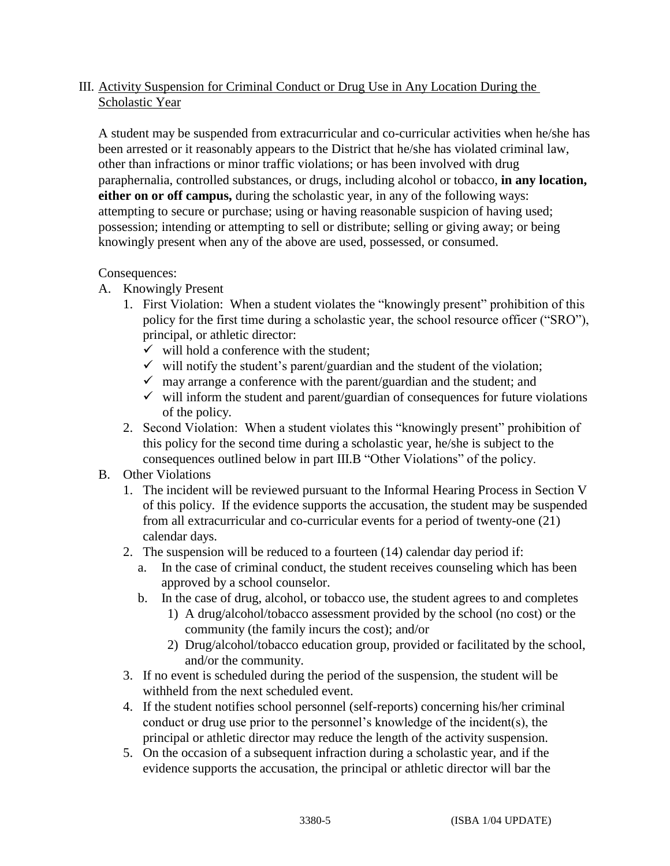# III. Activity Suspension for Criminal Conduct or Drug Use in Any Location During the Scholastic Year

A student may be suspended from extracurricular and co-curricular activities when he/she has been arrested or it reasonably appears to the District that he/she has violated criminal law, other than infractions or minor traffic violations; or has been involved with drug paraphernalia, controlled substances, or drugs, including alcohol or tobacco, **in any location, either on or off campus,** during the scholastic year, in any of the following ways: attempting to secure or purchase; using or having reasonable suspicion of having used; possession; intending or attempting to sell or distribute; selling or giving away; or being knowingly present when any of the above are used, possessed, or consumed.

# Consequences:

- A. Knowingly Present
	- 1. First Violation: When a student violates the "knowingly present" prohibition of this policy for the first time during a scholastic year, the school resource officer ("SRO"), principal, or athletic director:
		- $\checkmark$  will hold a conference with the student:
		- $\checkmark$  will notify the student's parent/guardian and the student of the violation;
		- $\checkmark$  may arrange a conference with the parent/guardian and the student; and
		- $\checkmark$  will inform the student and parent/guardian of consequences for future violations of the policy.
	- 2. Second Violation: When a student violates this "knowingly present" prohibition of this policy for the second time during a scholastic year, he/she is subject to the consequences outlined below in part III.B "Other Violations" of the policy.

# B. Other Violations

- 1. The incident will be reviewed pursuant to the Informal Hearing Process in Section V of this policy. If the evidence supports the accusation, the student may be suspended from all extracurricular and co-curricular events for a period of twenty-one (21) calendar days.
- 2. The suspension will be reduced to a fourteen (14) calendar day period if:
	- a. In the case of criminal conduct, the student receives counseling which has been approved by a school counselor.
	- b. In the case of drug, alcohol, or tobacco use, the student agrees to and completes
		- 1) A drug/alcohol/tobacco assessment provided by the school (no cost) or the community (the family incurs the cost); and/or
		- 2) Drug/alcohol/tobacco education group, provided or facilitated by the school, and/or the community.
- 3. If no event is scheduled during the period of the suspension, the student will be withheld from the next scheduled event.
- 4. If the student notifies school personnel (self-reports) concerning his/her criminal conduct or drug use prior to the personnel's knowledge of the incident(s), the principal or athletic director may reduce the length of the activity suspension.
- 5. On the occasion of a subsequent infraction during a scholastic year, and if the evidence supports the accusation, the principal or athletic director will bar the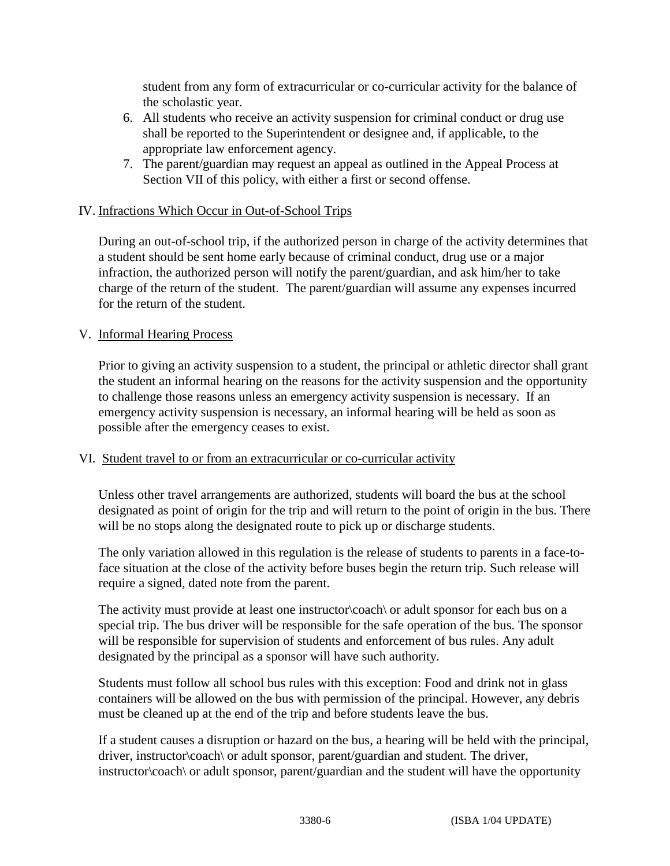student from any form of extracurricular or co-curricular activity for the balance of the scholastic year.

- 6. All students who receive an activity suspension for criminal conduct or drug use shall be reported to the Superintendent or designee and, if applicable, to the appropriate law enforcement agency.
- 7. The parent/guardian may request an appeal as outlined in the Appeal Process at Section VII of this policy, with either a first or second offense.

## IV. Infractions Which Occur in Out-of-School Trips

During an out-of-school trip, if the authorized person in charge of the activity determines that a student should be sent home early because of criminal conduct, drug use or a major infraction, the authorized person will notify the parent/guardian, and ask him/her to take charge of the return of the student. The parent/guardian will assume any expenses incurred for the return of the student.

### V. Informal Hearing Process

Prior to giving an activity suspension to a student, the principal or athletic director shall grant the student an informal hearing on the reasons for the activity suspension and the opportunity to challenge those reasons unless an emergency activity suspension is necessary. If an emergency activity suspension is necessary, an informal hearing will be held as soon as possible after the emergency ceases to exist.

### VI. Student travel to or from an extracurricular or co-curricular activity

Unless other travel arrangements are authorized, students will board the bus at the school designated as point of origin for the trip and will return to the point of origin in the bus. There will be no stops along the designated route to pick up or discharge students.

The only variation allowed in this regulation is the release of students to parents in a face-toface situation at the close of the activity before buses begin the return trip. Such release will require a signed, dated note from the parent.

The activity must provide at least one instructor\coach\ or adult sponsor for each bus on a special trip. The bus driver will be responsible for the safe operation of the bus. The sponsor will be responsible for supervision of students and enforcement of bus rules. Any adult designated by the principal as a sponsor will have such authority.

Students must follow all school bus rules with this exception: Food and drink not in glass containers will be allowed on the bus with permission of the principal. However, any debris must be cleaned up at the end of the trip and before students leave the bus.

If a student causes a disruption or hazard on the bus, a hearing will be held with the principal, driver, instructor\coach\ or adult sponsor, parent/guardian and student. The driver, instructor\coach\ or adult sponsor, parent/guardian and the student will have the opportunity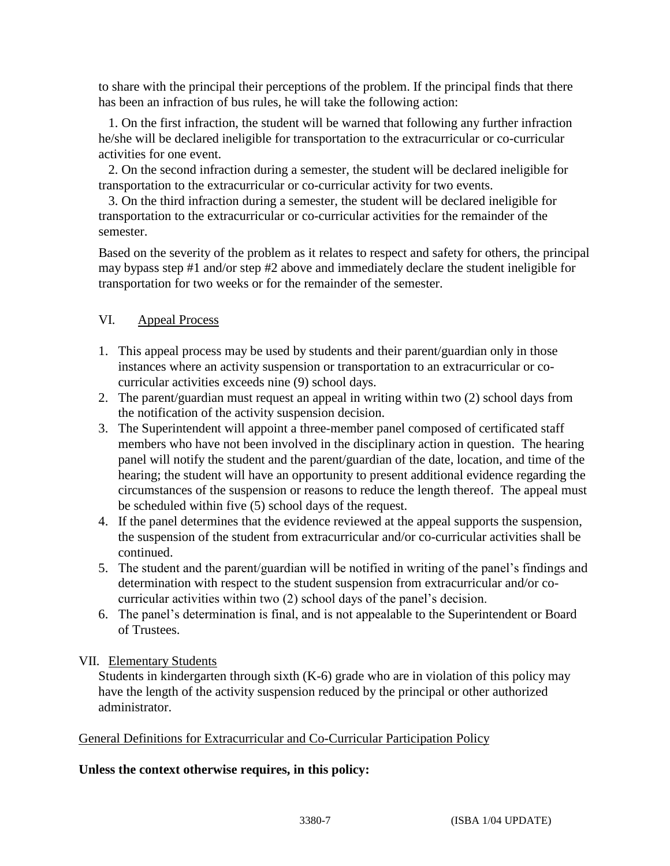to share with the principal their perceptions of the problem. If the principal finds that there has been an infraction of bus rules, he will take the following action:

1. On the first infraction, the student will be warned that following any further infraction he/she will be declared ineligible for transportation to the extracurricular or co-curricular activities for one event.

2. On the second infraction during a semester, the student will be declared ineligible for transportation to the extracurricular or co-curricular activity for two events.

3. On the third infraction during a semester, the student will be declared ineligible for transportation to the extracurricular or co-curricular activities for the remainder of the semester.

Based on the severity of the problem as it relates to respect and safety for others, the principal may bypass step #1 and/or step #2 above and immediately declare the student ineligible for transportation for two weeks or for the remainder of the semester.

# VI. Appeal Process

- 1. This appeal process may be used by students and their parent/guardian only in those instances where an activity suspension or transportation to an extracurricular or cocurricular activities exceeds nine (9) school days.
- 2. The parent/guardian must request an appeal in writing within two (2) school days from the notification of the activity suspension decision.
- 3. The Superintendent will appoint a three-member panel composed of certificated staff members who have not been involved in the disciplinary action in question. The hearing panel will notify the student and the parent/guardian of the date, location, and time of the hearing; the student will have an opportunity to present additional evidence regarding the circumstances of the suspension or reasons to reduce the length thereof. The appeal must be scheduled within five (5) school days of the request.
- 4. If the panel determines that the evidence reviewed at the appeal supports the suspension, the suspension of the student from extracurricular and/or co-curricular activities shall be continued.
- 5. The student and the parent/guardian will be notified in writing of the panel's findings and determination with respect to the student suspension from extracurricular and/or cocurricular activities within two (2) school days of the panel's decision.
- 6. The panel's determination is final, and is not appealable to the Superintendent or Board of Trustees.

# VII. Elementary Students

Students in kindergarten through sixth (K-6) grade who are in violation of this policy may have the length of the activity suspension reduced by the principal or other authorized administrator.

# General Definitions for Extracurricular and Co-Curricular Participation Policy

# **Unless the context otherwise requires, in this policy:**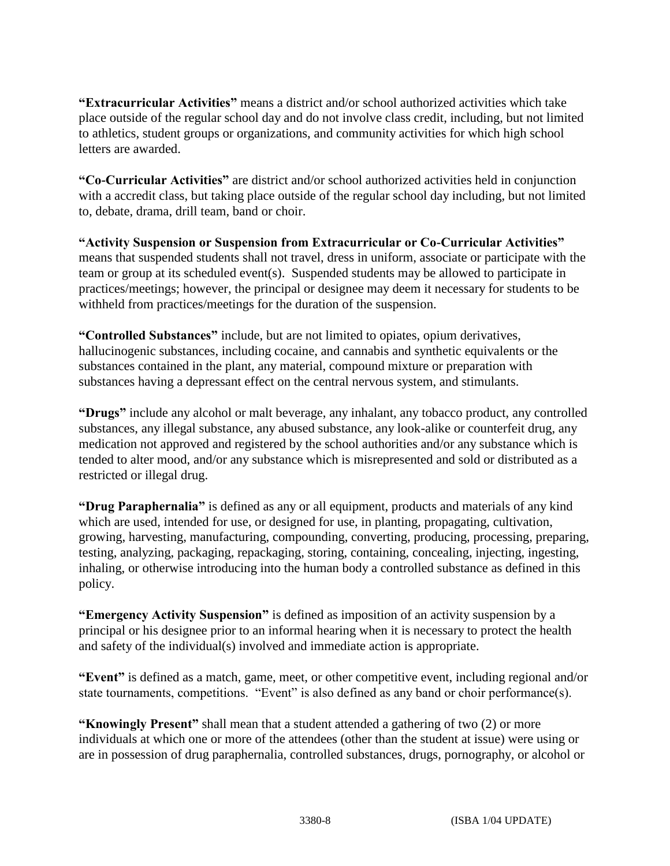**"Extracurricular Activities"** means a district and/or school authorized activities which take place outside of the regular school day and do not involve class credit, including, but not limited to athletics, student groups or organizations, and community activities for which high school letters are awarded.

**"Co-Curricular Activities"** are district and/or school authorized activities held in conjunction with a accredit class, but taking place outside of the regular school day including, but not limited to, debate, drama, drill team, band or choir.

**"Activity Suspension or Suspension from Extracurricular or Co-Curricular Activities"**  means that suspended students shall not travel, dress in uniform, associate or participate with the team or group at its scheduled event(s). Suspended students may be allowed to participate in practices/meetings; however, the principal or designee may deem it necessary for students to be withheld from practices/meetings for the duration of the suspension.

**"Controlled Substances"** include, but are not limited to opiates, opium derivatives, hallucinogenic substances, including cocaine, and cannabis and synthetic equivalents or the substances contained in the plant, any material, compound mixture or preparation with substances having a depressant effect on the central nervous system, and stimulants.

**"Drugs"** include any alcohol or malt beverage, any inhalant, any tobacco product, any controlled substances, any illegal substance, any abused substance, any look-alike or counterfeit drug, any medication not approved and registered by the school authorities and/or any substance which is tended to alter mood, and/or any substance which is misrepresented and sold or distributed as a restricted or illegal drug.

**"Drug Paraphernalia"** is defined as any or all equipment, products and materials of any kind which are used, intended for use, or designed for use, in planting, propagating, cultivation, growing, harvesting, manufacturing, compounding, converting, producing, processing, preparing, testing, analyzing, packaging, repackaging, storing, containing, concealing, injecting, ingesting, inhaling, or otherwise introducing into the human body a controlled substance as defined in this policy.

**"Emergency Activity Suspension"** is defined as imposition of an activity suspension by a principal or his designee prior to an informal hearing when it is necessary to protect the health and safety of the individual(s) involved and immediate action is appropriate.

**"Event"** is defined as a match, game, meet, or other competitive event, including regional and/or state tournaments, competitions. "Event" is also defined as any band or choir performance(s).

**"Knowingly Present"** shall mean that a student attended a gathering of two (2) or more individuals at which one or more of the attendees (other than the student at issue) were using or are in possession of drug paraphernalia, controlled substances, drugs, pornography, or alcohol or